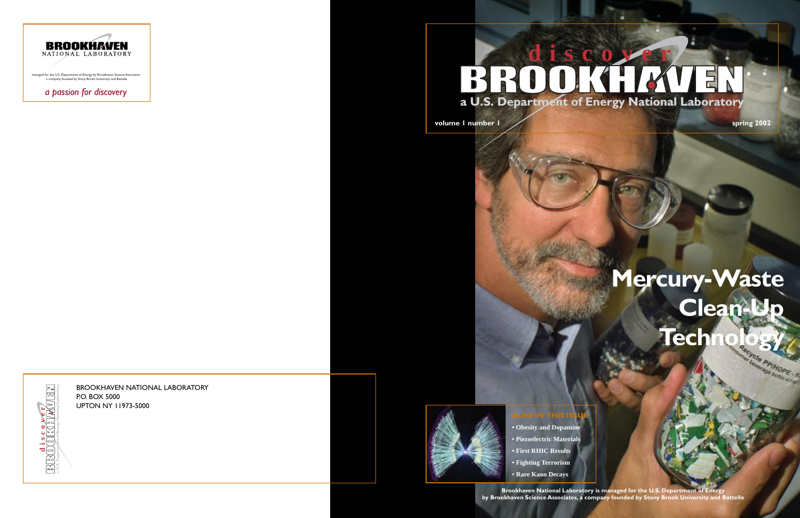# **a U.S. Department of Energy National Laboratory BROOKHAVEN**

**volume 1 number 1 3002** 

# **Mercury-Waste Clean-Up** Technology



### **ALSO IN THIS ISS**

- **Obesity and Dopamine**
- **Piezoelectric Materials**
- **First RHIC Results**
- **Fighting Terrorism**
- **Rare Kaon Decays**

**Brookhaven National Laboratory is managed for the U.S. Department of Energy by Brookhaven Science Associates, a company founded by Stony Brook University and Battelle**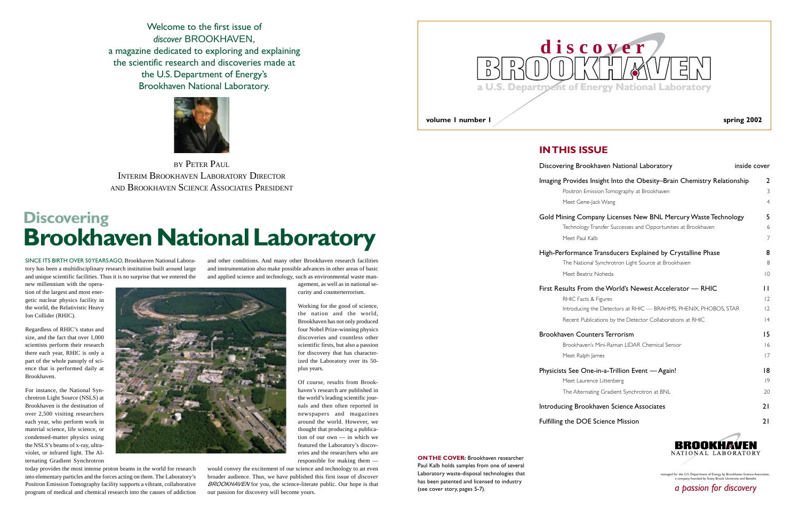### **Discovering Brookhaven National Laboratory**

Welcome to the first issue of *discover* BROOKHAVEN, a magazine dedicated to exploring and explaining the scientific research and discoveries made at the U.S. Department of Energy's Brookhaven National Laboratory.



SINCE ITS BIRTH OVER 50 YEARS AGO, Brookhaven National Laboratory has been a multidisciplinary research institution built around large and unique scientific facilities. Thus it is no surprise that we entered the

new millennium with the operation of the largest and most energetic nuclear physics facility in the world, the Relativistic Heavy Ion Collider (RHIC).

Regardless of RHIC's status and size, and the fact that over 1,000 scientists perform their research there each year, RHIC is only a part of the whole panoply of science that is performed daily at Brookhaven.

For instance, the National Synchrotron Light Source (NSLS) at Brookhaven is the destination of over 2,500 visiting researchers each year, who perform work in material science, life science, or condensed-matter physics using the NSLS's beams of x-ray, ultraviolet, or infrared light. The Alternating Gradient Synchrotron

today provides the most intense proton beams in the world for research into elementary particles and the forces acting on them. The Laboratory's Positron Emission Tomography facility supports a vibrant, collaborative program of medical and chemical research into the causes of addiction

BY PETER PAUL INTERIM BROOKHAVEN LABORATORY DIRECTOR AND BROOKHAVEN SCIENCE ASSOCIATES PRESIDENT

> and other conditions. And many other Brookhaven research facilities and instrumentation also make possible advances in other areas of basic and applied science and technology, such as environmental waste man-

> > agement, as well as in national security and counterterrorism.

| ring Brookhaven National Laboratory                              | inside cover   |
|------------------------------------------------------------------|----------------|
| Provides Insight Into the Obesity-Brain Chemistry Relationship   | 2              |
| Positron Emission Tomography at Brookhaven                       | 3              |
| Meet Gene-Jack Wang                                              | $\overline{4}$ |
| ning Company Licenses New BNL Mercury Waste Technology           | 5              |
| Technology Transfer Successes and Opportunities at Brookhaven    | 6              |
| Meet Paul Kalb                                                   | $\overline{7}$ |
| rformance Transducers Explained by Crystalline Phase             | 8              |
| The National Synchrotron Light Source at Brookhaven              | 8              |
| Meet Beatriz Noheda                                              | 10             |
| sults From the World's Newest Accelerator — RHIC                 | П              |
| RHIC Facts & Figures                                             | 12             |
| Introducing the Detectors at RHIC — BRAHMS, PHENIX, PHOBOS, STAR | 2              |
| Recent Publications by the Detector Collaborations at RHIC       | 4              |
| iven Counters Terrorism                                          | 15             |
| Brookhaven's Mini-Raman LIDAR Chemical Sensor                    | 16             |
| Meet Ralph James                                                 | 17             |
| s See One-in-a-Trillion Event — Again!                           | 18             |
| Meet Laurence Littenberg                                         | 9              |
| The Alternating Gradient Synchrotron at BNL                      | 20             |
| cing Brookhaven Science Associates                               | 21             |
| the DOE Science Mission                                          | 21             |
|                                                                  |                |



managed for the U.S. Department of Energy by Brookhaven Science Asso a company founded by Stony Brook University and Battell

Working for the good of science, the nation and the world, Brookhaven has not only produced four Nobel Prize-winning physics discoveries and countless other scientific firsts, but also a passion for discovery that has characterized the Laboratory over its 50 plus years.

> **ON THE COVER:** Brookhaven researcher Paul Kalb holds samples from one of several Laboratory waste-disposal technologies that has been patented and licensed to industry (see cover story, pages 5-7).



Of course, results from Brookhaven's research are published in the world's leading scientific journals and then often reported in newspapers and magazines around the world. However, we thought that producing a publication of our own — in which we featured the Laboratory's discoveries and the researchers who are responsible for making them —

would convey the excitement of our science and technology to an even broader audience. Thus, we have published this first issue of *discover* BROOKHAVEN for you, the science-literate public. Our hope is that our passion for discovery will become yours.

### **IN THIS ISSUE**

### Discovering Broo

### Imaging Provides

Positron Em Meet Gene

### Gold Mining Com

Technology Meet Paul k

### High-Performance

The Nation Meet Beatr

### First Results Fron

Introducing Recent Pub

### Brookhaven Count

Brookhaver Meet Ralph

### Physicists See Or

Meet Laure

### Introducing Broo

Fulfilling the DOE



*a passion for discovery*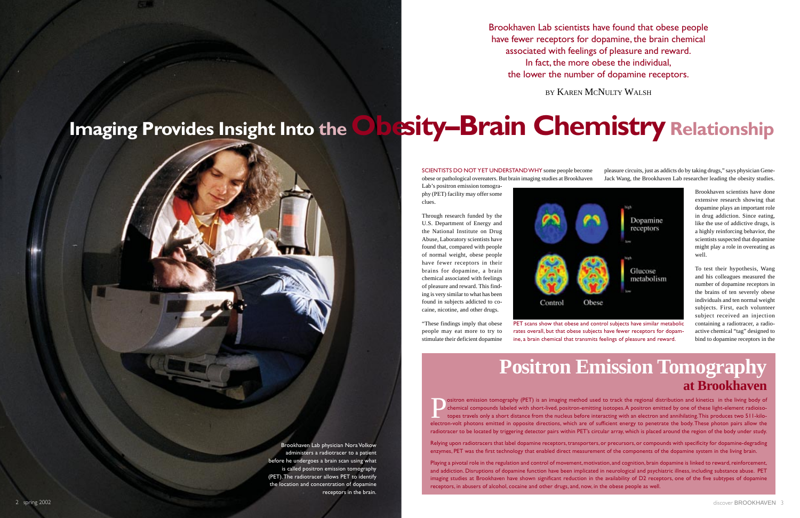Brookhaven Lab physician Nora Volkow administers a radiotracer to a patient before he undergoes a brain scan using what is called positron emission tomography (PET). The radiotracer allows PET to identify the location and concentration of dopamine receptors in the brain. Brookhaven Lab scientists have found that obese people have fewer receptors for dopamine, the brain chemical associated with feelings of pleasure and reward. In fact, the more obese the individual, the lower the number of dopamine receptors.

BY KAREN MCNULTY WALSH

Brookhaven scientists have done extensive research showing that dopamine plays an important role in drug addiction. Since eating, like the use of addictive drugs, is a highly reinforcing behavior, the scientists suspected that dopamine might play a role in overeating as well.

pleasure circuits, just as addicts do by taking drugs," says physician Gene-Jack Wang, the Brookhaven Lab researcher leading the obesity studies. SCIENTISTS DO NOT YET UNDERSTAND WHY some people become obese or pathological overeaters. But brain imaging studies at Brookhaven Lab's positron emission tomogra-

PET scans show that obese and control subjects have similar metabolic rates overall, but that obese subjects have fewer receptors for dopamine, a brain chemical that transmits feelings of pleasure and reward.

To test their hypothesis, Wang and his colleagues measured the number of dopamine receptors in the brains of ten severely obese individuals and ten normal weight subjects. First, each volunteer subject received an injection containing a radiotracer, a radioactive chemical "tag" designed to bind to dopamine receptors in the

Sositron emission tomography (PET) is an imaging method used to track the regional distribution and kinetics in the living body of chemical compounds labeled with short-lived, positron-emitting isotopes. A positron emitted chemical compounds labeled with short-lived, positron-emitting isotopes. A positron emitted by one of these light-element radioisotopes travels only a short distance from the nucleus before interacting with an electron and annihilating. This produces two 511-kiloelectron-volt photons emitted in opposite directions, which are of sufficient energy to penetrate the body. These photon pairs allow the radiotracer to be located by triggering detector pairs within PET's circular array, which is placed around the region of the body under study.

phy (PET) facility may offer some clues.

Through research funded by the U.S. Department of Energy and the National Institute on Drug Abuse, Laboratory scientists have found that, compared with people of normal weight, obese people have fewer receptors in their brains for dopamine, a brain chemical associated with feelings of pleasure and reward. This finding is very similar to what has been found in subjects addicted to cocaine, nicotine, and other drugs.

# <span id="page-2-0"></span>**Imaging Provides Insight Into theObe sity–Brain Chemistry Relationship**

"These findings imply that obese people may eat more to try to stimulate their deficient dopamine



### **Positron Emission Tomography at Brookhaven**

Relying upon radiotracers that label dopamine receptors, transporters, or precursors, or compounds with specificity for dopamine-degrading enzymes, PET was the first technology that enabled direct measurement of the components of the dopamine system in the living brain.

Playing a pivotal role in the regulation and control of movement, motivation, and cognition, brain dopamine is linked to reward, reinforcement, and addiction. Disruptions of dopamine function have been implicated in neurological and psychiatric illness, including substance abuse. PET imaging studies at Brookhaven have shown significant reduction in the availability of D2 receptors, one of the five subtypes of dopamine receptors, in abusers of alcohol, cocaine and other drugs, and, now, in the obese people as well.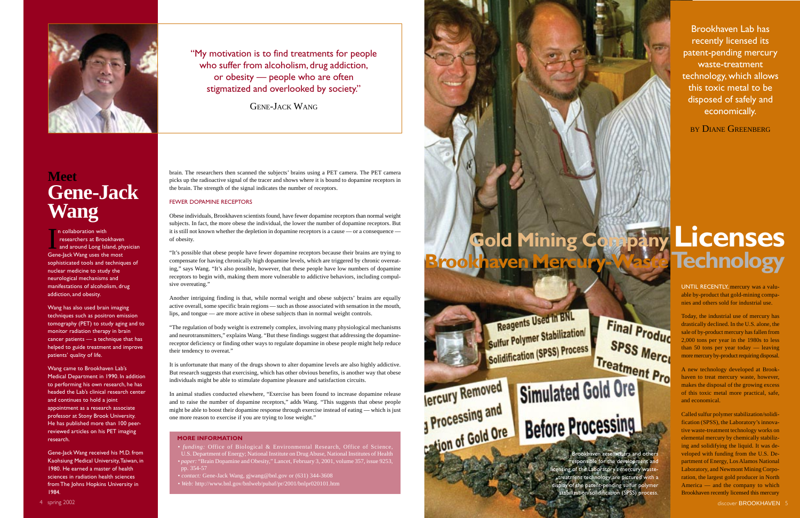brain. The researchers then scanned the subjects' brains using a PET camera. The PET camera picks up the radioactive signal of the tracer and shows where it is bound to dopamine receptors in the brain. The strength of the signal indicates the number of receptors.

### FEWER DOPAMINE RECEPTORS

Obese individuals, Brookhaven scientists found, have fewer dopamine receptors than normal weight subjects. In fact, the more obese the individual, the lower the number of dopamine receptors. But it is still not known whether the depletion in dopamine receptors is a cause — or a consequence of obesity.

"It's possible that obese people have fewer dopamine receptors because their brains are trying to compensate for having chronically high dopamine levels, which are triggered by chronic overeating," says Wang. "It's also possible, however, that these people have low numbers of dopamine receptors to begin with, making them more vulnerable to addictive behaviors, including compulsive overeating."

Another intriguing finding is that, while normal weight and obese subjects' brains are equally active overall, some specific brain regions — such as those associated with sensation in the mouth, lips, and tongue — are more active in obese subjects than in normal weight controls.

Im collaboration with<br>
researchers at Brookhaven<br>
and around Long Island, physician<br>
Gene-lack Wang uses the most n collaboration with researchers at Brookhaven Gene-Jack Wang uses the most sophisticated tools and techniques of nuclear medicine to study the neurological mechanisms and manifestations of alcoholism, drug addiction, and obesity.

> "The regulation of body weight is extremely complex, involving many physiological mechanisms and neurotransmitters," explains Wang. "But these findings suggest that addressing the dopaminereceptor deficiency or finding other ways to regulate dopamine in obese people might help reduce their tendency to overeat."

> It is unfortunate that many of the drugs shown to alter dopamine levels are also highly addictive. But research suggests that exercising, which has other obvious benefits, is another way that obese individuals might be able to stimulate dopamine pleasure and satisfaction circuits.

# **Gold Mining Company Licenses Brookhaven Mercury-Waste Technology**

In animal studies conducted elsewhere, "Exercise has been found to increase dopamine release and to raise the number of dopamine receptors," adds Wang. "This suggests that obese people might be able to boost their dopamine response through exercise instead of eating — which is just one more reason to exercise if you are trying to lose weight."

"My motivation is to find treatments for people who suffer from alcoholism, drug addiction, or obesity — people who are often stigmatized and overlooked by society."

GENE-JACK WANG

<span id="page-3-0"></span>

**Meet Gene-Jack Wang**

> responsible for the development and licensing of the Laboratory's mercury treatment technology are pictured with a display of the patent-pending sulfur polymer -y<br>tabilization/solidification (SPSS) process.

Wang has also used brain imaging techniques such as positron emission tomography (PET) to study aging and to monitor radiation therapy in brain cancer patients — a technique that has helped to guide treatment and improve patients' quality of life.

Wang came to Brookhaven Lab's Medical Department in 1990. In addition to performing his own research, he has headed the Lab's clinical research center and continues to hold a joint appointment as a research associate professor at Stony Brook University. He has published more than 100 peerreviewed articles on his PET imaging research.

Gene-Jack Wang received his M.D. from Kaohsiung Medical University, Taiwan, in 1980. He earned a master of health sciences in radiation health sciences from The Johns Hopkins University in 1984.

### **MORE INFORMATION**

• *funding:* Office of Biological & Environmental Research, Office of Science, U.S. Department of Energy; National Institute on Drug Abuse, National Institutes of Health • *paper:* "Brain Dopamine and Obesity," Lancet, February 3, 2001, volume 357, issue 9253, pp. 354-57

• *contact:* Gene-Jack Wang, gjwang@bnl.gov or (631) 344-3608 • *Web:* http://www.bnl.gov/bnlweb/pubaf/pr/2001/bnlpr020101.htm

**Jercury Removed** 

Processing and

Reagents Used in BNL Sulfur Polymer Stabilization Sulfur Polymer Call Process

UNTIL RECENTLY, mercury was a valuable by-product that gold-mining companies and others sold for industrial use.

Today, the industrial use of mercury has drastically declined. In the U.S. alone, the sale of by-product mercury has fallen from 2,000 tons per year in the 1980s to less than 50 tons per year today — leaving more mercury by-product requiring disposal.

A new technology developed at Brookhaven to treat mercury waste, however, makes the disposal of the growing excess of this toxic metal more practical, safe, and economical.

Called sulfur polymer stabilization/solidification (SPSS), the Laboratory's innovative waste-treatment technology works on elemental mercury by chemically stabilizing and solidifying the liquid. It was developed with funding from the U.S. Department of Energy, Los Alamos National Laboratory, and Newmont Mining Corporation, the largest gold producer in North America — and the company to which Brookhaven recently licensed this mercury

**Final Produc** SPSS Merci Treatment Pro Simulated Gold Ore

Brookhaven Lab has recently licensed its patent-pending mercury waste-treatment technology, which allows this toxic metal to be disposed of safely and economically.

BY DIANE GREENBERG

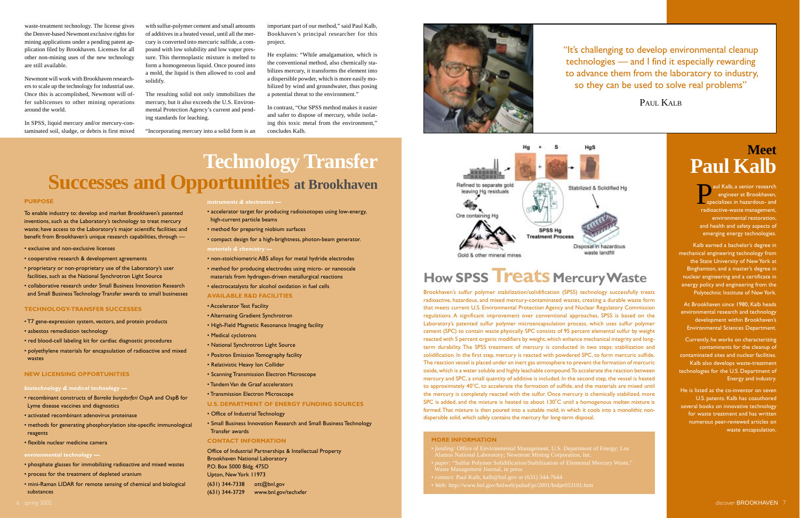### **Technology Transfer Successes and Opportunities at Brookhaven**

- *instruments & electronics —*
- accelerator target for producing radioisotopes using low-energy, high-current particle beams
- method for preparing niobium surfaces
- compact design for a high-brightness, photon-beam generator. *materials & chemistry —*
- non-stoichiometric AB5 alloys for metal hydride electrodes
- method for producing electrodes using micro- or nanoscale materials from hydrogen-driven metallurgical reactions
- electrocatalysts for alcohol oxidation in fuel cells

### **AVAILABLE R&D FACILITIES**

- Accelerator Test Facility
- Alternating Gradient Synchrotron
- High-Field Magnetic Resonance Imaging facility
- Medical cyclotrons
- National Synchrotron Light Source
- Positron Emission Tomography facility
- Relativistic Heavy Ion Collider
- Scanning Transmission Electron Microscope
- Tandem Van de Graaf accelerators
- Transmission Electron Microscope

#### **U.S. DEPARTMENT OF ENERGY FUNDING SOURCES**

- Office of Industrial Technology
- Small Business Innovation Research and Small Business Technology Transfer awards

#### **CONTACT INFORMATION**

Office of Industrial Partnerships & Intellectual Property Brookhaven National Laboratory P.O. Box 5000 Bldg. 475D Upton, New York 11973

(631) 344-7338 ott@bnl.gov (631) 344-3729 www.bnl.gov/techxfer





<span id="page-4-0"></span>waste-treatment technology. The license gives the Denver-based Newmont exclusive rights for mining applications under a pending patent application filed by Brookhaven. Licenses for all other non-mining uses of the new technology are still available.

Newmont will work with Brookhaven researchers to scale up the technology for industrial use. Once this is accomplished, Newmont will offer sublicenses to other mining operations around the world.

In SPSS, liquid mercury and/or mercury-contaminated soil, sludge, or debris is first mixed

with sulfur-polymer cement and small amounts of additives in a heated vessel, until all the mercury is converted into mercuric sulfide, a compound with low solubility and low vapor pressure. This thermoplastic mixture is melted to form a homogeneous liquid. Once poured into a mold, the liquid is then allowed to cool and solidify.

The resulting solid not only immobilizes the mercury, but it also exceeds the U.S. Environmental Protection Agency's current and pending standards for leaching.

> aul Kalb, a senior research<br>
> engineer at Brookhaven,<br>
> specializes in hazardous- and<br>
> radioactive-waste management engineer at Brookhaven, specializes in hazardous- and radioactive-waste management, environmental restoration, and health and safety aspects of emerging energy technologies.

"Incorporating mercury into a solid form is an

important part of our method," said Paul Kalb, Bookhaven's principal researcher for this project.

He explains: "While amalgamation, which is the conventional method, also chemically stabilizes mercury, it transforms the element into a dispersible powder, which is more easily mobilized by wind and groundwater, thus posing a potential threat to the environment."

In contrast, "Our SPSS method makes it easier and safer to dispose of mercury, while isolating this toxic metal from the environment," concludes Kalb.

### **PURPOSE**

To enable industry to: develop and market Brookhaven's patented inventions, such as the Laboratory's technology to treat mercury waste; have access to the Laboratory's major scientific facilities; and benefit from Brookhaven's unique research capabilities, through —

- exclusive and non-exclusive licenses
- cooperative research & development agreements
- proprietary or non-proprietary use of the Laboratory's user facilities, such as the National Synchrotron Light Source
- collaborative research under Small Business Innovation Research and Small Business Technology Transfer awards to small businesses

### **TECHNOLOGY-TRANSFER SUCCESSES**

- T7 gene-expression system, vectors, and protein products
- asbestos remediation technology
- red blood-cell labeling kit for cardiac diagnostic procedures
- polyethylene materials for encapsulation of radioactive and mixed wastes

### **NEW LICENSING OPPORTUNITIES**

#### *biotechnology & medical technology —*

- recombinant constructs of *Borrelia burgdorferi* OspA and OspB for Lyme disease vaccines and diagnostics
- activated recombinant adenovirus proteinase
- methods for generating phosphorylation site-specific immunological reagents
- flexible nuclear medicine camera

### *environmental technology —*

- phosphate glasses for immobilizing radioactive and mixed wastes
- process for the treatment of depleted uranium
- mini-Raman LIDAR for remote sensing of chemical and biological substances

### **Meet Paul Kalb**

Kalb earned a bachelor's degree in mechanical engineering technology from the State University of New York at Binghamton, and a master's degree in nuclear engineering and a certificate in energy policy and engineering from the Polytechnic Institute of New York.

At Brookhaven since 1980, Kalb heads environmental research and technology development within Brookhaven's Environmental Sciences Department.

Currently, he works on characterizing contaminants for the cleanup of contaminated sites and nuclear facilities. Kalb also develops waste-treatment technologies for the U.S. Department of Energy and industry.

He is listed as the co-inventor on seven U.S. patents. Kalb has coauthored several books on innovative technology for waste treatment and has written numerous peer-reviewed articles on waste encapsulation.

"It's challenging to develop environmental cleanup technologies — and I find it especially rewarding to advance them from the laboratory to industry, so they can be used to solve real problems"

PAUL KALB



#### **MORE INFORMATION**

- 
- 
- 
- *Web:* http://www.bnl.gov/bnlweb/pubaf/pr/2001/bnlpr053101.htm

Brookhaven's sulfur polymer stabilization/solidification (SPSS) technology successfully treats radioactive, hazardous, and mixed mercury-contaminated wastes, creating a durable waste form that meets current U.S. Environmental Protection Agency and Nuclear Regulatory Commission regulations. A significant improvement over conventional approaches, SPSS is based on the Laboratory's patented sulfur polymer microencapsulation process, which uses sulfur polymer cement (SPC) to contain waste physically. SPC consists of 95 percent elemental sulfur by weight reacted with 5 percent organic modifiers by weight, which enhance mechanical integrity and longterm durability. The SPSS treatment of mercury is conducted in two steps: stabilization and solidification. In the first step, mercury is reacted with powdered SPC, to form mercuric sulfide. The reaction vessel is placed under an inert gas atmosphere to prevent the formation of mercuric oxide, which is a water soluble and highly leachable compound. To accelerate the reaction between mercury and SPC, a small quantity of additive is included. In the second step, the vessel is heated to approximately  $40^{\circ}$ C, to accelerate the formation of sulfide, and the materials are mixed until the mercury is completely reacted with the sulfur. Once mercury is chemically stabilized, more SPC is added, and the mixture is heated to about  $130^{\circ}$ C until a homogenous molten mixture is formed. That mixture is then poured into a suitable mold, in which it cools into a monolithic nondispersible solid, which safely contains the mercury for long-term disposal.

### **How SPSS Treats Mercury Waste**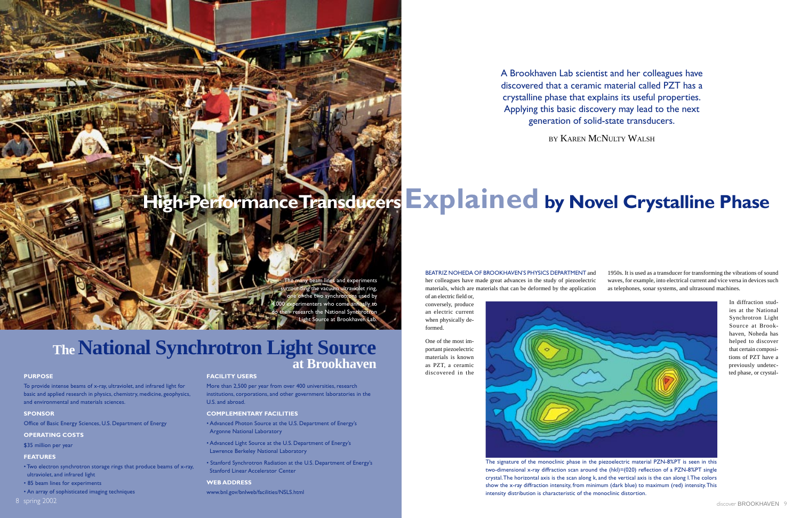The many beam lines and experiments surrounding the vacuum ultraviolet ring, of the two synchrotrons used by menters who come annually to arch the National Syr Source at Brookhave

### **The National Synchrotron Light Source at Brookhaven**

### **PURPOSE**

- Two electron synchrotron storage rings that produce beams of x-ray, ultraviolet, and infrared light
- 85 beam lines for experiments
- An array of sophisticated imaging techniques
- 8 spring 2002

To provide intense beams of x-ray, ultraviolet, and infrared light for basic and applied research in physics, chemistry, medicine, geophysics, and environmental and materials sciences.

### **SPONSOR**

Office of Basic Energy Sciences, U.S. Department of Energy

### **OPERATING COSTS**

\$35 million per year

### **FEATURES**

### **FACILITY USERS**

More than 2,500 per year from over 400 universities, research institutions, corporations, and other government laboratories in the U.S. and abroad.

### **COMPLEMENTARY FACILITIES**

- Advanced Photon Source at the U.S. Department of Energy's Argonne National Laboratory
- Advanced Light Source at the U.S. Department of Energy's Lawrence Berkeley National Laboratory
- Stanford Synchrotron Radiation at the U.S. Department of Energy's Stanford Linear Accelerator Center

### **WEB ADDRESS**

www.bnl.gov/bnlweb/facilities/NSLS.html

# <span id="page-5-0"></span>**High-Performance Transducers Explained by Novel Crystalline Phase**

A Brookhaven Lab scientist and her colleagues have discovered that a ceramic material called PZT has a crystalline phase that explains its useful properties. Applying this basic discovery may lead to the next generation of solid-state transducers.

BY KAREN MCNULTY WALSH

### BEATRIZ NOHEDA OF BROOKHAVEN'S PHYSICS DEPARTMENT and

her colleagues have made great advances in the study of piezoelectric materials, which are materials that can be deformed by the application of an electric field or,

conversely, produce an electric current when physically deformed.

One of the most important piezoelectric materials is known as PZT, a ceramic discovered in the



The signature of the monoclinic phase in the piezoelectric material PZN-8%PT is seen in this two-dimensional x-ray diffraction scan around the (hkl)=(020) reflection of a PZN-8%PT single crystal. The horizontal axis is the scan along k, and the vertical axis is the can along I. The colors show the x-ray diffraction intensity, from minimum (dark blue) to maximum (red) intensity. This intensity distribution is characteristic of the monoclinic distortion.

1950s. It is used as a transducer for transforming the vibrations of sound waves, for example, into electrical current and vice versa in devices such as telephones, sonar systems, and ultrasound machines.

> In diffraction studies at the National Synchrotron Light Source at Brookhaven, Noheda has helped to discover that certain compositions of PZT have a previously undetected phase, or crystal-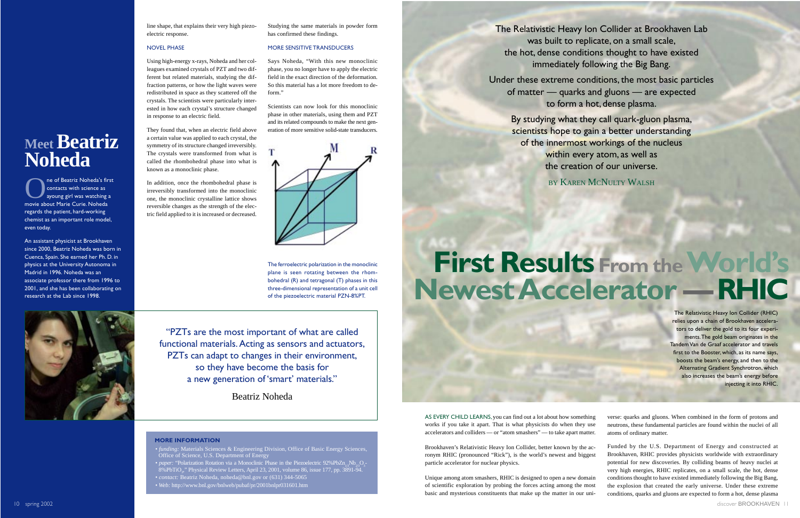"PZTs are the most important of what are called functional materials. Acting as sensors and actuators, PZTs can adapt to changes in their environment, so they have become the basis for a new generation of 'smart' materials."

Beatriz Noheda

line shape, that explains their very high piezoelectric response.

### NOVEL PHASE

Using high-energy x-rays, Noheda and her colleagues examined crystals of PZT and two different but related materials, studying the diffraction patterns, or how the light waves were redistributed in space as they scattered off the crystals. The scientists were particularly interested in how each crystal's structure changed in response to an electric field.

They found that, when an electric field above a certain value was applied to each crystal, the symmetry of its structure changed irreversibly. The crystals were transformed from what is called the rhombohedral phase into what is known as a monoclinic phase.

In addition, once the rhombohedral phase is irreversibly transformed into the monoclinic one, the monoclinic crystalline lattice shows reversible changes as the strength of the electric field applied to it is increased or decreased.

Studying the same materials in powder form has confirmed these findings.

The of Beatriz Noheda's first<br>
contacts with science as<br>
ayoung girl was watching a<br>
movie about Marie Curie Nobeda contacts with science as

### MORE SENSITIVE TRANSDUCERS

Says Noheda, "With this new monoclinic phase, you no longer have to apply the electric field in the exact direction of the deformation. So this material has a lot more freedom to deform."

Scientists can now look for this monoclinic phase in other materials, using them and PZT and its related compounds to make the next generation of more sensitive solid-state transducers.



### **MORE INFORMATION**

- *funding:* Materials Sciences & Engineering Division, Office of Basic Energy Sciences, Office of Science, U.S. Department of Energy
- *paper*: "Polarization Rotation via a Monoclinic Phase in the Piezoelectric 92%PbZn<sub>1/3</sub>Nb<sub>23</sub>O<sub>3</sub> 8%PbTiO<sub>3</sub>," Physical Review Letters, April 23, 2001, volume 86, issue 177, pp. 3891-94.
- *contact:* Beatriz Noheda, noheda@bnl.gov or (631) 344-5065
- *Web:* http://www.bnl.gov/bnlweb/pubaf/pr/2001bnlpr031601.htm

The ferroelectric polarization in the monoclinic plane is seen rotating between the rhombohedral (R) and tetragonal (T) phases in this three-dimensional representation of a unit cell of the piezoelectric material PZN-8%PT.



<span id="page-6-0"></span>**Meet Beatriz** 

**Noheda**

movie about Marie Curie. Noheda regards the patient, hard-working chemist as an important role model,

even today.

An assistant physicist at Brookhaven since 2000, Beatriz Noheda was born in Cuenca, Spain. She earned her Ph. D. in physics at the University Autonoma in Madrid in 1996. Noheda was an associate professor there from 1996 to 2001, and she has been collaborating on

research at the Lab since 1998.

Brookhaven's Relativistic Heavy Ion Collider, better known by the acronym RHIC (pronounced "Rick"), is the world's newest and biggest particle accelerator for nuclear physics. Unique among atom smashers, RHIC is designed to open a new domain of scientific exploration by probing the forces acting among the most basic and mysterious constituents that make up the matter in our uni-

# **First Results From theWorld's Newest Accelerator —RHIC**



AS EVERY CHILD LEARNS, you can find out a lot about how somethi works if you take it apart. That is what physicists do when they u accelerators and colliders  $-$  or "atom smashers"  $-$  to take apart matt

The Relativistic Heavy Ion Collider at Brookhaven Lab was built to replicate, on a small scale, the hot, dense conditions thought to have existed immediately following the Big Bang.

Under these extreme conditions, the most basic particles of matter — quarks and gluons — are expected to form a hot, dense plasma.

> By studying what they call quark-gluon plasma, scientists hope to gain a better understanding of the innermost workings of the nucleus within every atom, as well as the creation of our universe.

BY KAREN MCNULTY WALSH

The Relativistic Heavy Ion Collider (RHIC) relies upon a chain of Brookhaven accelerators to deliver the gold to its four experiments. The gold beam originates in the Tandem Van de Graaf accelerator and travels first to the Booster, which, as its name says, boosts the beam's energy, and then to the Alternating Gradient Synchrotron, which also increases the beam's energy before injecting it into RHIC.

| ng  | verse: quarks and gluons. When combined in the form of protons and       |
|-----|--------------------------------------------------------------------------|
| ise | neutrons, these fundamental particles are found within the nuclei of all |
| er. | atoms of ordinary matter.                                                |

Funded by the U.S. Department of Energy and constructed at Brookhaven, RHIC provides physicists worldwide with extraordinary potential for new discoveries. By colliding beams of heavy nuclei at very high energies, RHIC replicates, on a small scale, the hot, dense conditions thought to have existed immediately following the Big Bang, the explosion that created the early universe. Under these extreme conditions, quarks and gluons are expected to form a hot, dense plasma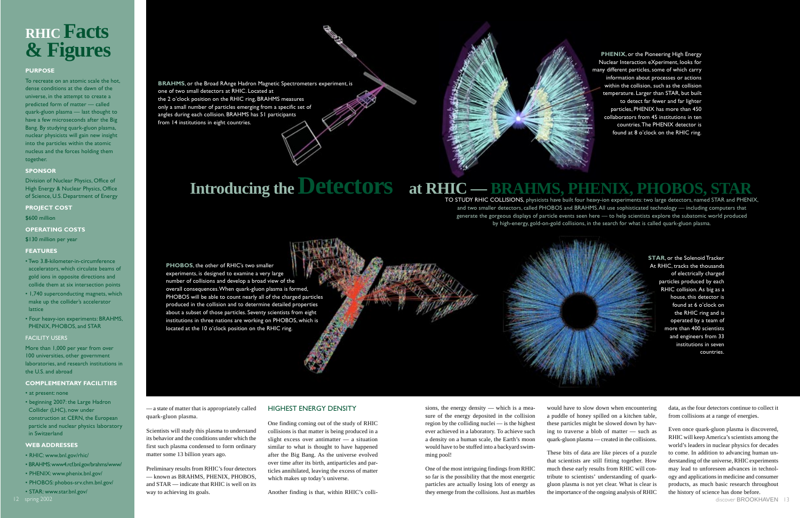— a state of matter that is appropriately called quark-gluon plasma.

Scientists will study this plasma to understand its behavior and the conditions under which the first such plasma condensed to form ordinary matter some 13 billion years ago.

Preliminary results from RHIC's four detectors — known as BRAHMS, PHENIX, PHOBOS, and STAR — indicate that RHIC is well on its way to achieving its goals.

### HIGHEST ENERGY DENSITY

One finding coming out of the study of RHIC collisions is that matter is being produced in a slight excess over antimatter — a situation similar to what is thought to have happened after the Big Bang. As the universe evolved over time after its birth, antiparticles and particles annihilated, leaving the excess of matter which makes up today's universe.

Another finding is that, within RHIC's colli-



### <span id="page-7-0"></span>**RHIC Facts & Figures**

### **PURPOSE**

To recreate on an atomic scale the hot, dense conditions at the dawn of the universe, in the attempt to create a predicted form of matter — called quark-gluon plasma — last thought to have a few microseconds after the Big Bang. By studying quark-gluon plasma, nuclear physicists will gain new insight into the particles within the atomic nucleus and the forces holding them together.

### **SPONSOR**

Division of Nuclear Physics, Office of High Energy & Nuclear Physics, Office of Science, U.S. Department of Energy

### **PROJECT COST**

\$600 million

### **OPERATING COSTS**

\$130 million per year

### **FEATURES**

- Two 3.8-kilometer-in-circumference accelerators, which circulate beams of gold ions in opposite directions and collide them at six intersection points
- 1,740 superconducting magnets, which make up the collider's accelerator lattice
- Four heavy-ion experiments: BRAHMS, PHENIX, PHOBOS, and STAR

### FACILITY USERS

More than 1,000 per year from over 100 universities, other government laboratories, and research institutions in the U.S. and abroad

### **COMPLEMENTARY FACILITIES**

- at present: none
- beginning 2007: the Large Hadron Collider (LHC), now under construction at CERN, the European particle and nuclear physics laboratory in Switzerland

### **WEB ADDRESSES**

- RHIC: www.bnl.gov/rhic/
- BRAHMS: www4.rcf.bnl.gov/brahms/www/
- PHENIX: www.phenix.bnl.gov/
- PHOBOS: phobos-srv.chm.bnl.gov/
- STAR: www.star.bnl.gov/

**BRAHMS**, or the Broad RAnge Hadron Magnetic Spectrometers experiment, is one of two small detectors at RHIC. Located at the 2 o'clock position on the RHIC ring, BRAHMS measures only a small number of particles emerging from a specific set of angles during each collision. BRAHMS has 51 participants from 14 institutions in eight countries.

> **STAR**, or the Solenoid Tracker At RHIC, tracks the thousands of electrically charged particles produced by each RHIC collision. As big as a house, this detector is found at 6 o'clock on the RHIC ring and is operated by a team of more than 400 scientists and engineers from 33 institutions in seven countries.

sions, the energy density — which is a mea-

### sure of the energy deposited in the collision region by the colliding nuclei — is the highest ever achieved in a laboratory. To achieve such a density on a human scale, the Earth's moon would have to be stuffed into a backyard swim-

## **Introducing theDetectors at RHIC — BRAHMS, PHENIX, PHOBOS, STAR**

ming pool!

One of the most intriguing findings from RHIC so far is the possibility that the most energetic particles are actually losing lots of energy as they emerge from the collisions. Just as marbles

would have to slow down when encountering a puddle of honey spilled on a kitchen table, these particles might be slowed down by having to traverse a blob of matter — such as quark-gluon plasma — created in the collisions.

These bits of data are like pieces of a puzzle that scientists are still fitting together. How much these early results from RHIC will contribute to scientists' understanding of quarkgluon plasma is not yet clear. What is clear is the importance of the ongoing analysis of RHIC data, as the four detectors continue to collect it from collisions at a range of energies.

Even once quark-gluon plasma is discovered, RHIC will keep America's scientists among the world's leaders in nuclear physics for decades to come. In addition to advancing human understanding of the universe, RHIC experiments may lead to unforeseen advances in technology and applications in medicine and consumer products, as much basic research throughout the history of science has done before.

TO STUDY RHIC COLLISIONS, physicists have built four heavy-ion experiments: two large detectors, named STAR and PHENIX, and two smaller detectors, called PHOBOS and BRAHMS. All use sophisticated technology — including computers that generate the gorgeous displays of particle events seen here — to help scientists explore the subatomic world produced by high-energy, gold-on-gold collisions, in the search for what is called quark-gluon plasma.

**PHENIX**, or the Pioneering High Energy Nuclear Interaction eXperiment, looks for many different particles, some of which carry information about processes or actions within the collision, such as the collision temperature. Larger than STAR, but built to detect far fewer and far lighter particles, PHENIX has more than 450 collaborators from 45 institutions in ten countries. The PHENIX detector is found at 8 o'clock on the RHIC ring.

**PHOBOS**, the other of RHIC's two smaller experiments, is designed to examine a very large number of collisions and develop a broad view of the overall consequences. When quark-gluon plasma is formed, PHOBOS will be able to count nearly all of the charged particles produced in the collision and to determine detailed properties about a subset of those particles. Seventy scientists from eight institutions in three nations are working on PHOBOS, which is located at the 10 o'clock position on the RHIC ring.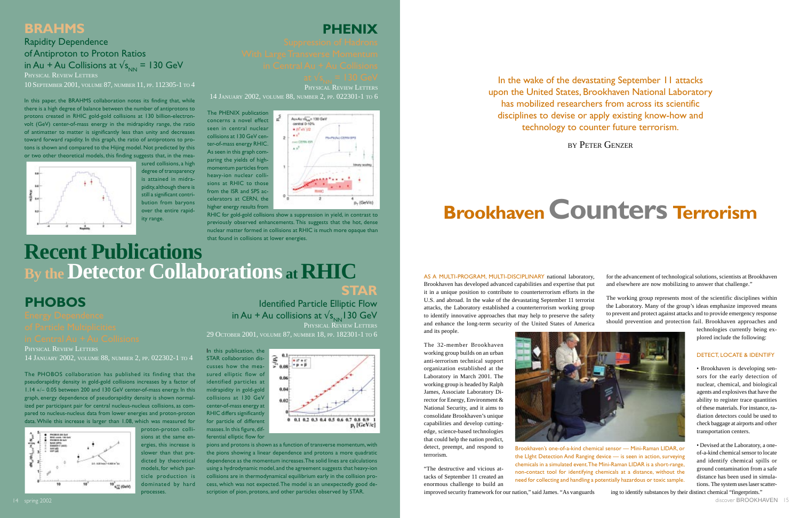### **PHOBOS**

PHYSICAL REVIEW LETTERS 14 JANUARY 2002, VOLUME 88, NUMBER 2, PP. 022302-1 TO 4

The PHOBOS collaboration has published its finding that the pseudorapidity density in gold-gold collisions increases by a factor of 1.14 +/− 0.05 between 200 and 130 GeV center-of-mass energy. In this graph, energy dependence of pseudorapidity density is shown normalized per participant pair for central nucleus-nucleus collisions, as compared to nucleus-nucleus data from lower energies and proton-proton data. While this increase is larger than 1.08, which was measured for



proton-proton collisions at the same energies, this increase is slower than that predicted by theoretical models, for which particle production is dominated by hard

processes.

# **PHENIX**

PHYSICAL REVIEW LETTERS

14 JANUARY 2002, VOLUME 88, NUMBER 2, PP. 022301-1 TO 6

In this paper, the BRAHMS collaboration notes its finding that, while there is a high degree of balance between the number of antiprotons to protons created in RHIC gold-gold collisions at 130 billion-electronvolt (GeV) center-of-mass energy in the midrapidity range, the ratio of antimatter to matter is significantly less than unity and decreases toward forward rapidity. In this graph, the ratio of antiprotons to protons is shown and compared to the Hijing model. Not predicted by this or two other theoretical models, this finding suggests that, in the mea-



The PHENIX publication concerns a novel effect seen in central nuclear collisions at 130 GeV center-of-mass energy RHIC. As seen in this graph comparing the yields of highmomentum particles from heavy-ion nuclear collisions at RHIC to those from the ISR and SPS accelerators at CERN, the higher energy results from



### **Recent Publications By theDetector Collaborations at RHIC STAR**

Identified Particle Elliptic Flow in Au + Au collisions at  $\mathsf{v}_{\mathsf{S_{NN}}}$ 130 GeV PHYSICAL REVIEW LETTERS

RHIC for gold-gold collisions show a suppression in yield, in contrast to previously observed enhancements. This suggests that the hot, dense nuclear matter formed in collisions at RHIC is much more opaque than that found in collisions at lower energies.

### <span id="page-8-0"></span>**BRAHMS**

### Rapidity Dependence of Antiproton to Proton Ratios in Au + Au Collisions at  $\sqrt{s_{\text{N}}}=130 \text{ GeV}$ PHYSICAL REVIEW LETTERS

10 SEPTEMBER 2001, VOLUME 87, NUMBER 11, PP. 112305-1 TO 4

sured collisions, a high degree of transparency is attained in midrapidity, although there is still a significant contribution from baryons over the entire rapidity range.

29 OCTOBER 2001, VOLUME 87, NUMBER 18, PP. 182301-1 TO 6

In this publication, the STAR collaboration discusses how the measured elliptic flow of identified particles at midrapidity in gold-gold collisions at 130 GeV center-of-mass energy at RHIC differs significantly for particle of different masses. In this figure, differential elliptic flow for



In the wake of the devastating September 11 attacks upon the United States, Brookhaven National Laboratory has mobilized researchers from across its scientific disciplines to devise or apply existing know-how and technology to counter future terrorism.

pions and protons is shown as a function of transverse momentum, with the pions showing a linear dependence and protons a more quadratic dependence as the momentum increases. The solid lines are calculations using a hydrodynamic model, and the agreement suggests that heavy-ion collisions are in thermodynamical equilibrium early in the collision process, which was not expected. The model is an unexpectedly good description of pion, protons, and other particles observed by STAR.

AS A MULTI-PROGRAM, MULTI-DISCIPLINARY national laboratory, Brookhaven has developed advanced capabilities and expertise that put it in a unique position to contribute to counterterrorism efforts in the U.S. and abroad. In the wake of the devastating September 11 terrorist attacks, the Laboratory established a counterterrorism working group to identify innovative approaches that may help to preserve the safety and enhance the long-term security of the United States of America and its people.

The 32-member Brookhaven working group builds on an urban anti-terrorism technical support organization established at the Laboratory in March 2001. The working group is headed by Ralph James, Associate Laboratory Director for Energy, Environment & National Security, and it aims to consolidate Brookhaven's unique capabilities and develop cuttingedge, science-based technologies that could help the nation predict, detect, preempt, and respond to terrorism.

"The destructive and vicious attacks of September 11 created an enormous challenge to build an



improved security framework for our nation," said James. "As vanguards

for the advancement of technological solutions, scientists at Brookhaven and elsewhere are now mobilizing to answer that challenge."

The working group represents most of the scientific disciplines within the Laboratory. Many of the group's ideas emphasize improved means to prevent and protect against attacks and to provide emergency response should prevention and protection fail. Brookhaven approaches and

> technologies currently being explored include the following:

### DETECT, LOCATE & IDENTIFY

• Brookhaven is developing sensors for the early detection of nuclear, chemical, and biological agents and explosives that have the ability to register trace quantities of these materials. For instance, radiation detectors could be used to check baggage at airports and other transportation centers.

• Devised at the Laboratory, a oneof-a-kind chemical sensor to locate and identify chemical spills or ground contamination from a safe distance has been used in simulations. The system uses laser scatter-

# **BrookhavenCounters Terrorism**

BY PETER GENZER

Brookhaven's one-of-a-kind chemical sensor — Mini-Raman LIDAR, or the LIght Detection And Ranging device — is seen in action, surveying chemicals in a simulated event. The Mini-Raman LIDAR is a short-range, non-contact tool for identifying chemicals at a distance, without the need for collecting and handling a potentially hazardous or toxic sample.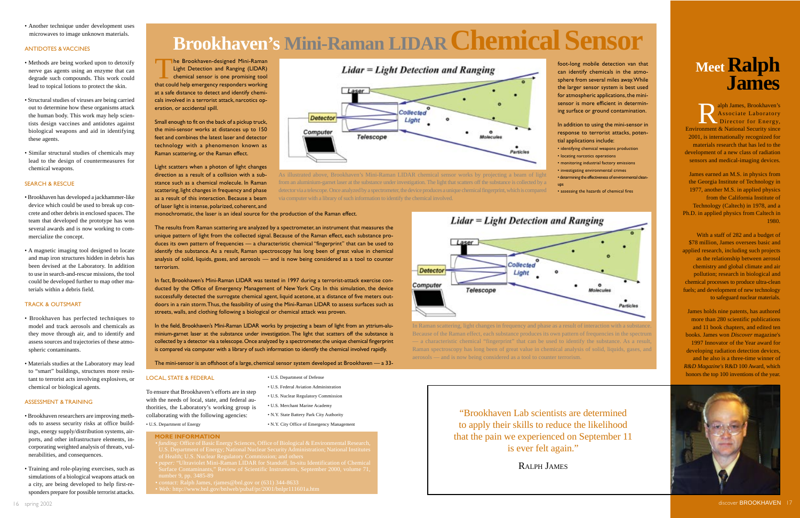<span id="page-9-0"></span>• Another technique under development uses microwaves to image unknown materials.

### ANTIDOTES & VACCINES

- Methods are being worked upon to detoxify nerve gas agents using an enzyme that can degrade such compounds. This work could lead to topical lotions to protect the skin.
- Structural studies of viruses are being carried out to determine how these organisms attack the human body. This work may help scientists design vaccines and antidotes against biological weapons and aid in identifying these agents.
- Similar structural studies of chemicals may lead to the design of countermeasures for chemical weapons.

### SEARCH & RESCUE

- Brookhaven has developed a jackhammer-like device which could be used to break up concrete and other debris in enclosed spaces. The team that developed the prototype has won several awards and is now working to commercialize the concept.
- A magnetic imaging tool designed to locate and map iron structures hidden in debris has been devised at the Laboratory. In addition to use in search-and-rescue missions, the tool could be developed further to map other materials within a debris field.

The Brookhaven-designed Mini-Raman Light Detection and Ranging (LIDAR) chemical sensor is one promising tool that could help emergency responders working at a safe distance to detect and identify chemicals involved in a terrorist attack, narcotics operation, or accidental spill.

### TRACK & OUTSMART

- Brookhaven has perfected techniques to model and track aerosols and chemicals as they move through air, and to identify and assess sources and trajectories of these atmospheric contaminants.
- Materials studies at the Laboratory may lead to "smart" buildings, structures more resistant to terrorist acts involving explosives, or chemical or biological agents.

### ASSESSMENT & TRAINING

- Brookhaven researchers are improving methods to assess security risks at office buildings, energy supply/distribution systems, airports, and other infrastructure elements, incorporating weighted analysis of threats, vulnerabilities, and consequences.
- Training and role-playing exercises, such as simulations of a biological weapons attack on a city, are being developed to help first-responders prepare for possible terrorist attacks.

Small enough to fit on the back of a pickup truck, the mini-sensor works at distances up to 150 feet and combines the latest laser and detector technology with a phenomenon known as Raman scattering, or the Raman effect.

Light scatters when a photon of light changes direction as a result of a collision with a substance such as a chemical molecule. In Raman scattering, light changes in frequency and phase as a result of this interaction. Because a beam of laser light is intense, polarized, coherent, and monochromatic, the laser is an ideal source for the production of the Raman effect.



unique pattern of light from the collected signal. Because of the Raman effect, each substance produces its own pattern of frequencies — a characteristic chemical "fingerprint" that can be used to identify the substance. As a result, Raman spectroscopy has long been of great value in chemical analysis of solid, liquids, gases, and aerosols — and is now being considered as a tool to counter terrorism.

### **Meet Ralph James**

alph James, Brookhaven's Associate Laboratory Director for Energy, Environment & National Security since 2001, is internationally recognized for materials research that has led to the development of a new class of radiation sensors and medical-imaging devices.

In fact, Brookhaven's Mini-Raman LIDAR was tested in 1997 during a terrorist-attack exercise conducted by the Office of Emergency Management of New York City. In this simulation, the device successfully detected the surrogate chemical agent, liquid acetone, at a distance of five meters outdoors in a rain storm. Thus, the feasibility of using the Mini-Raman LIDAR to assess surfaces such as streets, walls, and clothing following a biological or chemical attack was proven.

In the field, Brookhaven's Mini-Raman LIDAR works by projecting a beam of light from an yttrium-aluminium-garnet laser at the substance under investigation. The light that scatters off the substance is collected by a detector via a telescope. Once analyzed by a spectrometer, the unique chemical fingerprint is compared via computer with a library of such information to identify the chemical involved rapidly.

# **Brookhaven's Mini-Raman L IDAR Chemical Sensor**

The mini-sensor is an offshoot of a large, chemical sensor system developed at Brookhaven — a 33-

### **MORE INFORMATION**

### LOCAL, STATE & FEDERAL

To ensure that Brookhaven's efforts are in step with the needs of local, state, and federal authorities, the Laboratory's working group is collaborating with the following agencies:

• U.S. Department of Energy

- 
- 
- 
- 

• U.S. Department of Defense • U.S. Federal Aviation Administration • U.S. Nuclear Regulatory Commission • U.S. Merchant Marine Academy

• N.Y. State Battery Park City Authority

• N.Y. City Office of Emergency Management

foot-long mobile detection van that can identify chemicals in the atmosphere from several miles away. While the larger sensor system is best used for atmospheric applications, the minisensor is more efficient in determining surface or ground contamination.

- In addition to using the mini-sensor in response to terrorist attacks, poten-
- identifying chemical weapons production
	-
	-
- determining the effectiveness of environmental clean-

tial applications include: • locating narcotics operations • monitoring industrial factory emissions • investigating environmental crimes ups

**Lidar = Light Detection and Ranging** 

Collected

Llaht

 $\circ$ 

• assessing the hazards of chemical fires





As illustrated above, Brookhaven's Mini-Raman LIDAR chemical sensor works by projecting a beam of light from an aluminium-garnet laser at the substance under investigation. The light that scatters off the substance is collected by a detector via a telescope. Once analyzed by a spectrometer, the device produces a unique chemical fingerprint, which is compared via computer with a library of such information to identify the chemical involved.

**Detector** 

Computer

James earned an M.S. in physics from the Georgia Institute of Technology in 1977, another M.S. in applied physics from the California Institute of Technology (Caltech) in 1978, and a Ph.D. in applied physics from Caltech in 1980.

With a staff of 282 and a budget of \$78 million, James oversees basic and applied research, including such projects as the relationship between aerosol chemistry and global climate and air pollution; research in biological and chemical processes to produce ultra-clean fuels; and development of new technology to safeguard nuclear materials.

James holds nine patents, has authored more than 280 scientific publications and 11 book chapters, and edited ten books. James won *Discover* magazine's 1997 Innovator of the Year award for developing radiation detection devices. and he also is a three-time winner of *R&D Magazine's* R&D 100 Award, which honors the top 100 inventions of the year.





"Brookhaven Lab scientists are determined to apply their skills to reduce the likelihood that the pain we experienced on September 11 is ever felt again."

In Raman scattering, light changes in frequency and phase as a result of interaction with a substance. Because of the Raman effect, each substance produces its own pattern of frequencies in the spectrum — a characteristic chemical "fingerprint" that can be used to identify the substance. As a result, Raman spectroscopy has long been of great value in chemical analysis of solid, liquids, gases, and

aerosols — and is now being considered as a tool to counter terrorism.

Laser

Telescope

RALPH **JAMES**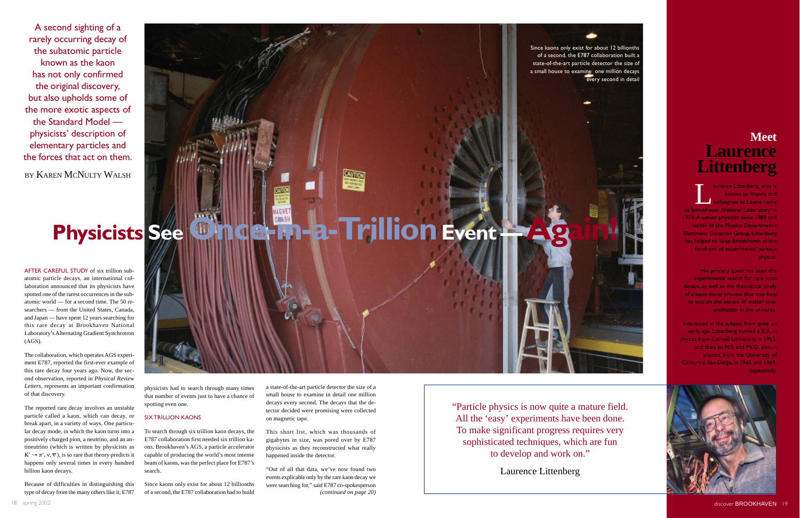<span id="page-10-0"></span>A second sighting of a rarely occurring decay of the subatomic particle known as the kaon has not only confirmed the original discovery, but also upholds some of the more exotic aspects of the Standard Model physicists' description of elementary particles and the forces that act on them.

BY KAREN MCNULTY WALSH

# Physicists See **Once-in-a-Trillion Event — Again!**

physicists had to search through many times that number of events just to have a chance of spotting even one.

### SIX TRILLION KAONS

To search through six trillion kaon decays, the E787 collaboration first needed six trillion kaons. Brookhaven's AGS, a particle accelerator capable of producing the world's most intense beam of kaons, was the perfect place for E787's search.

Since kaons only exist for about 12 billionths of a second, the E787 collaboration had to build a state-of-the-art particle detector the size of a small house to examine in detail one million decays every second. The decays that the detector decided were promising were collected on magnetic tape.

This short list, which was thousands of gigabytes in size, was pored over by E787 physicists as they reconstructed what really happened inside the detector.

"Out of all that data, we've now found two events explicable only by the rare kaon decay we were searching for," said E787 co-spokesperson *(continued on page 20)*

**Example 2** aurence Littenberg, who is<br>
known to friends and<br> **Colleagues as Laurie, came**<br> **Colleagues as Laurie, came** known to friends and colleagues as Laurie, came to Brookhaven National Laboratory in 1974. A senior physicist since 1989 and leader of the Physics Department's Electronic Detector Group, Littenberg has helped to keep Brookhaven at the forefront of experimental particle physics.

AFTER CAREFUL STUDY of six trillion subatomic particle decays, an international collaboration announced that its physicists have spotted one of the rarest occurrences in the subatomic world — for a second time. The 50 researchers — from the United States, Canada, and Japan — have spent 12 years searching for this rare decay at Brookhaven National Laboratory's Alternating Gradient Synchrotron (AGS).

Interested in the subject from quite an early age, Littenberg earned a B.A. in physics from Cornell University in 1963, and then an M.S. and Ph.D., also in physics, from the University of California, San Diego, in 1965 and 1969, **respectively** 



The collaboration, which operates AGS experiment E787, reported the first-ever example of this rare decay four years ago. Now, the second observation, reported in *Physical Review Letters*, represents an important confirmation of that discovery.

The reported rare decay involves an unstable particle called a kaon, which can decay, or break apart, in a variety of ways. One particular decay mode, in which the kaon turns into a positively charged pion, a neutrino, and an antineutrino (which is written by physicists as  $K^+ \to \pi^+, \nu, \overline{\nu}$ , is so rare that theory predicts it happens only several times in every hundred billion kaon decays.

Because of difficulties in distinguishing this type of decay from the many others like it, E787





state-of-the-art particle detector the size of a small house to examine one million decays

### **Meet Laurence Littenberg**

His primary quest has been the experimental search for rare kaon decays, as well as the theoretical study of a kaon decay process that may help to explain the excess of matter over antimatter in the universe.

"Particle physics is now quite a mature field. All the 'easy' experiments have been done. To make significant progress requires very sophisticated techniques, which are fun to develop and work on."

Laurence Littenberg